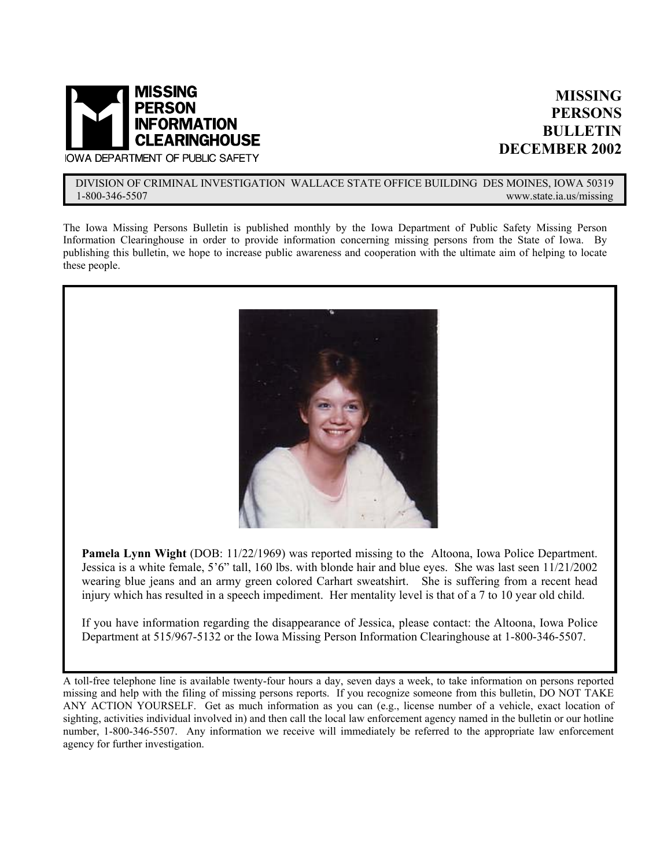

## **MISSING PERSONS BULLETIN DECEMBER 2002**

**IOWA DEPARTMENT OF PUBLIC SAFETY** 

#### DIVISION OF CRIMINAL INVESTIGATION WALLACE STATE OFFICE BUILDING DES MOINES, IOWA 50319<br>1-800-346-5507 www.state.ia.us/missing www.state.ia.us/missing

The Iowa Missing Persons Bulletin is published monthly by the Iowa Department of Public Safety Missing Person Information Clearinghouse in order to provide information concerning missing persons from the State of Iowa. By publishing this bulletin, we hope to increase public awareness and cooperation with the ultimate aim of helping to locate these people.



Pamela Lynn Wight (DOB: 11/22/1969) was reported missing to the Altoona, Iowa Police Department. Jessica is a white female, 5'6" tall, 160 lbs. with blonde hair and blue eyes. She was last seen 11/21/2002 wearing blue jeans and an army green colored Carhart sweatshirt. She is suffering from a recent head injury which has resulted in a speech impediment. Her mentality level is that of a 7 to 10 year old child.

If you have information regarding the disappearance of Jessica, please contact: the Altoona, Iowa Police Department at 515/967-5132 or the Iowa Missing Person Information Clearinghouse at 1-800-346-5507.

A toll-free telephone line is available twenty-four hours a day, seven days a week, to take information on persons reported missing and help with the filing of missing persons reports. If you recognize someone from this bulletin, DO NOT TAKE ANY ACTION YOURSELF. Get as much information as you can (e.g., license number of a vehicle, exact location of sighting, activities individual involved in) and then call the local law enforcement agency named in the bulletin or our hotline number, 1-800-346-5507. Any information we receive will immediately be referred to the appropriate law enforcement agency for further investigation.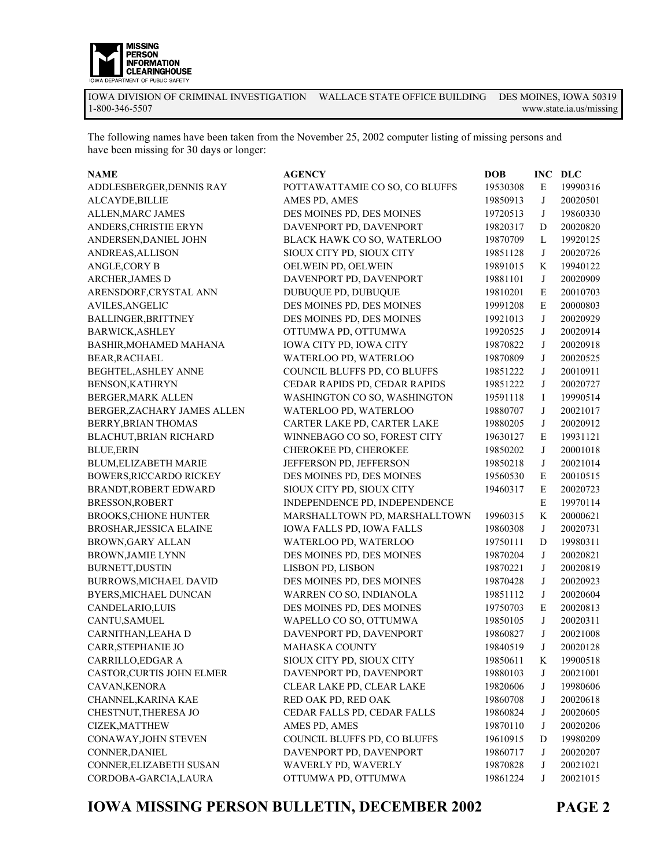

The following names have been taken from the November 25, 2002 computer listing of missing persons and have been missing for 30 days or longer:

| <b>NAME</b>                  | <b>AGENCY</b>                  | <b>DOB</b> | <b>INC</b>   | <b>DLC</b> |
|------------------------------|--------------------------------|------------|--------------|------------|
| ADDLESBERGER, DENNIS RAY     | POTTAWATTAMIE CO SO, CO BLUFFS | 19530308   | E            | 19990316   |
| ALCAYDE, BILLIE              | AMES PD, AMES                  | 19850913   | $\bf J$      | 20020501   |
| ALLEN, MARC JAMES            | DES MOINES PD, DES MOINES      | 19720513   | $\bf J$      | 19860330   |
| ANDERS, CHRISTIE ERYN        | DAVENPORT PD, DAVENPORT        | 19820317   | D            | 20020820   |
| ANDERSEN, DANIEL JOHN        | BLACK HAWK CO SO, WATERLOO     | 19870709   | L            | 19920125   |
| ANDREAS, ALLISON             | SIOUX CITY PD, SIOUX CITY      | 19851128   | $\bf J$      | 20020726   |
| ANGLE, CORY B                | OELWEIN PD, OELWEIN            | 19891015   | K            | 19940122   |
| ARCHER, JAMES D              | DAVENPORT PD, DAVENPORT        | 19881101   | $\bf J$      | 20020909   |
| ARENSDORF, CRYSTAL ANN       | DUBUQUE PD, DUBUQUE            | 19810201   | $\mathbf E$  | 20010703   |
| <b>AVILES, ANGELIC</b>       | DES MOINES PD, DES MOINES      | 19991208   | ${\bf E}$    | 20000803   |
| BALLINGER, BRITTNEY          | DES MOINES PD, DES MOINES      | 19921013   | $\bf J$      | 20020929   |
| <b>BARWICK, ASHLEY</b>       | OTTUMWA PD, OTTUMWA            | 19920525   | $\bf J$      | 20020914   |
| BASHIR, MOHAMED MAHANA       | IOWA CITY PD, IOWA CITY        | 19870822   | J            | 20020918   |
| BEAR, RACHAEL                | WATERLOO PD, WATERLOO          | 19870809   | $\bf J$      | 20020525   |
| BEGHTEL, ASHLEY ANNE         | COUNCIL BLUFFS PD, CO BLUFFS   | 19851222   | J            | 20010911   |
| BENSON, KATHRYN              | CEDAR RAPIDS PD, CEDAR RAPIDS  | 19851222   | J            | 20020727   |
| BERGER, MARK ALLEN           | WASHINGTON CO SO, WASHINGTON   | 19591118   | I            | 19990514   |
| BERGER, ZACHARY JAMES ALLEN  | WATERLOO PD, WATERLOO          | 19880707   | J            | 20021017   |
| BERRY, BRIAN THOMAS          | CARTER LAKE PD, CARTER LAKE    | 19880205   | J            | 20020912   |
| BLACHUT, BRIAN RICHARD       | WINNEBAGO CO SO, FOREST CITY   | 19630127   | $\mathbf E$  | 19931121   |
| <b>BLUE, ERIN</b>            | CHEROKEE PD, CHEROKEE          | 19850202   | $\bf J$      | 20001018   |
| BLUM, ELIZABETH MARIE        | JEFFERSON PD, JEFFERSON        | 19850218   | J            | 20021014   |
| BOWERS, RICCARDO RICKEY      | DES MOINES PD, DES MOINES      | 19560530   | $\mathbf E$  | 20010515   |
| BRANDT, ROBERT EDWARD        | SIOUX CITY PD, SIOUX CITY      | 19460317   | $\mathbf E$  | 20020723   |
| BRESSON, ROBERT              | INDEPENDENCE PD, INDEPENDENCE  |            | $\mathbf E$  | 19970114   |
| <b>BROOKS, CHIONE HUNTER</b> | MARSHALLTOWN PD, MARSHALLTOWN  | 19960315   | K            | 20000621   |
| BROSHAR, JESSICA ELAINE      | IOWA FALLS PD, IOWA FALLS      | 19860308   | J            | 20020731   |
| BROWN, GARY ALLAN            | WATERLOO PD, WATERLOO          | 19750111   | D            | 19980311   |
| <b>BROWN, JAMIE LYNN</b>     | DES MOINES PD, DES MOINES      | 19870204   | $\bf J$      | 20020821   |
| <b>BURNETT, DUSTIN</b>       | LISBON PD, LISBON              | 19870221   | $\bf J$      | 20020819   |
| BURROWS, MICHAEL DAVID       | DES MOINES PD, DES MOINES      | 19870428   | $\bf J$      | 20020923   |
| BYERS, MICHAEL DUNCAN        | WARREN CO SO, INDIANOLA        | 19851112   | $\bf J$      | 20020604   |
| CANDELARIO, LUIS             | DES MOINES PD, DES MOINES      | 19750703   | ${\bf E}$    | 20020813   |
| CANTU, SAMUEL                | WAPELLO CO SO, OTTUMWA         | 19850105   | $\bf J$      | 20020311   |
| CARNITHAN, LEAHA D           | DAVENPORT PD, DAVENPORT        | 19860827   | $\mathbf{J}$ | 20021008   |
| CARR, STEPHANIE JO           | <b>MAHASKA COUNTY</b>          | 19840519   | $\mathbf{J}$ | 20020128   |
| CARRILLO, EDGAR A            | SIOUX CITY PD, SIOUX CITY      | 19850611   | K            | 19900518   |
| CASTOR, CURTIS JOHN ELMER    | DAVENPORT PD, DAVENPORT        | 19880103   | J            | 20021001   |
| CAVAN, KENORA                | CLEAR LAKE PD, CLEAR LAKE      | 19820606   | J            | 19980606   |
| CHANNEL, KARINA KAE          | RED OAK PD, RED OAK            | 19860708   | J            | 20020618   |
| CHESTNUT, THERESA JO         | CEDAR FALLS PD, CEDAR FALLS    | 19860824   | J            | 20020605   |
| CIZEK, MATTHEW               | AMES PD, AMES                  | 19870110   | J            | 20020206   |
| CONAWAY, JOHN STEVEN         | COUNCIL BLUFFS PD, CO BLUFFS   | 19610915   | D            | 19980209   |
| CONNER, DANIEL               | DAVENPORT PD, DAVENPORT        | 19860717   | J            | 20020207   |
| CONNER, ELIZABETH SUSAN      | WAVERLY PD, WAVERLY            | 19870828   | J            | 20021021   |
| CORDOBA-GARCIA, LAURA        | OTTUMWA PD, OTTUMWA            | 19861224   | J            | 20021015   |

**IOWA MISSING PERSON BULLETIN, DECEMBER 2002**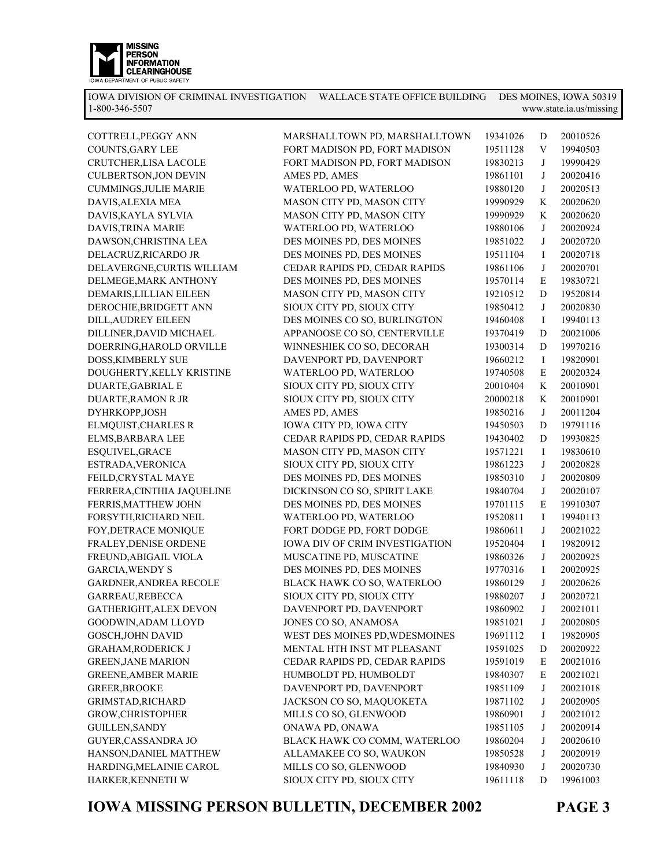

| COTTRELL, PEGGY ANN           | MARSHALLTOWN PD, MARSHALLTOWN  | 19341026 | D | 20010526 |
|-------------------------------|--------------------------------|----------|---|----------|
| COUNTS, GARY LEE              | FORT MADISON PD, FORT MADISON  | 19511128 | V | 19940503 |
| CRUTCHER, LISA LACOLE         | FORT MADISON PD, FORT MADISON  | 19830213 | J | 19990429 |
| CULBERTSON, JON DEVIN         | AMES PD, AMES                  | 19861101 | J | 20020416 |
| <b>CUMMINGS, JULIE MARIE</b>  | WATERLOO PD, WATERLOO          | 19880120 | J | 20020513 |
| DAVIS, ALEXIA MEA             | MASON CITY PD, MASON CITY      | 19990929 | K | 20020620 |
| DAVIS, KAYLA SYLVIA           | MASON CITY PD, MASON CITY      | 19990929 | K | 20020620 |
| DAVIS, TRINA MARIE            | WATERLOO PD, WATERLOO          | 19880106 | J | 20020924 |
| DAWSON, CHRISTINA LEA         | DES MOINES PD, DES MOINES      | 19851022 | J | 20020720 |
| DELACRUZ, RICARDO JR          | DES MOINES PD, DES MOINES      | 19511104 | I | 20020718 |
| DELAVERGNE, CURTIS WILLIAM    | CEDAR RAPIDS PD, CEDAR RAPIDS  | 19861106 | J | 20020701 |
| DELMEGE, MARK ANTHONY         | DES MOINES PD, DES MOINES      | 19570114 | E | 19830721 |
| DEMARIS, LILLIAN EILEEN       | MASON CITY PD, MASON CITY      | 19210512 | D | 19520814 |
| DEROCHIE, BRIDGETT ANN        | SIOUX CITY PD, SIOUX CITY      | 19850412 | J | 20020830 |
| DILL, AUDREY EILEEN           | DES MOINES CO SO, BURLINGTON   | 19460408 | I | 19940113 |
| DILLINER, DAVID MICHAEL       | APPANOOSE CO SO, CENTERVILLE   | 19370419 | D | 20021006 |
| DOERRING, HAROLD ORVILLE      | WINNESHIEK CO SO, DECORAH      | 19300314 | D | 19970216 |
| DOSS, KIMBERLY SUE            | DAVENPORT PD, DAVENPORT        | 19660212 | I | 19820901 |
| DOUGHERTY, KELLY KRISTINE     | WATERLOO PD, WATERLOO          | 19740508 | E | 20020324 |
| DUARTE, GABRIAL E             | SIOUX CITY PD, SIOUX CITY      | 20010404 | K | 20010901 |
| <b>DUARTE, RAMON R JR</b>     | SIOUX CITY PD, SIOUX CITY      | 20000218 | K | 20010901 |
| DYHRKOPP,JOSH                 | AMES PD, AMES                  | 19850216 | J | 20011204 |
| ELMQUIST, CHARLES R           | IOWA CITY PD, IOWA CITY        | 19450503 | D | 19791116 |
| ELMS, BARBARA LEE             | CEDAR RAPIDS PD, CEDAR RAPIDS  | 19430402 | D | 19930825 |
| ESQUIVEL, GRACE               | MASON CITY PD, MASON CITY      | 19571221 | I | 19830610 |
| ESTRADA, VERONICA             | SIOUX CITY PD, SIOUX CITY      | 19861223 | J | 20020828 |
| FEILD, CRYSTAL MAYE           | DES MOINES PD, DES MOINES      | 19850310 | J | 20020809 |
| FERRERA, CINTHIA JAQUELINE    | DICKINSON CO SO, SPIRIT LAKE   | 19840704 | J | 20020107 |
| FERRIS, MATTHEW JOHN          | DES MOINES PD, DES MOINES      | 19701115 | E | 19910307 |
| FORSYTH, RICHARD NEIL         | WATERLOO PD, WATERLOO          | 19520811 | I | 19940113 |
| FOY, DETRACE MONIQUE          | FORT DODGE PD, FORT DODGE      | 19860611 | J | 20021022 |
| FRALEY, DENISE ORDENE         | IOWA DIV OF CRIM INVESTIGATION | 19520404 | I | 19820912 |
| FREUND, ABIGAIL VIOLA         | MUSCATINE PD, MUSCATINE        | 19860326 | J | 20020925 |
| <b>GARCIA, WENDY S</b>        | DES MOINES PD, DES MOINES      | 19770316 | I | 20020925 |
| <b>GARDNER, ANDREA RECOLE</b> | BLACK HAWK CO SO, WATERLOO     | 19860129 | J | 20020626 |
| GARREAU, REBECCA              | SIOUX CITY PD, SIOUX CITY      | 19880207 | J | 20020721 |
| GATHERIGHT, ALEX DEVON        | DAVENPORT PD, DAVENPORT        | 19860902 | J | 20021011 |
| GOODWIN, ADAM LLOYD           | JONES CO SO, ANAMOSA           | 19851021 | J | 20020805 |
| GOSCH, JOHN DAVID             | WEST DES MOINES PD, WDESMOINES | 19691112 | Ι | 19820905 |
| <b>GRAHAM, RODERICK J</b>     | MENTAL HTH INST MT PLEASANT    | 19591025 | D | 20020922 |
| <b>GREEN, JANE MARION</b>     | CEDAR RAPIDS PD, CEDAR RAPIDS  | 19591019 | Е | 20021016 |
| <b>GREENE, AMBER MARIE</b>    | HUMBOLDT PD, HUMBOLDT          | 19840307 | Е | 20021021 |
| <b>GREER, BROOKE</b>          | DAVENPORT PD, DAVENPORT        | 19851109 | J | 20021018 |
| GRIMSTAD, RICHARD             | JACKSON CO SO, MAQUOKETA       | 19871102 | J | 20020905 |
| GROW, CHRISTOPHER             | MILLS CO SO, GLENWOOD          | 19860901 | J | 20021012 |
| <b>GUILLEN, SANDY</b>         | ONAWA PD, ONAWA                | 19851105 | J | 20020914 |
| <b>GUYER, CASSANDRA JO</b>    | BLACK HAWK CO COMM, WATERLOO   | 19860204 | J | 20020610 |
| HANSON, DANIEL MATTHEW        | ALLAMAKEE CO SO, WAUKON        | 19850528 | J | 20020919 |
| HARDING, MELAINIE CAROL       | MILLS CO SO, GLENWOOD          | 19840930 | J | 20020730 |
| HARKER, KENNETH W             | SIOUX CITY PD, SIOUX CITY      | 19611118 | D | 19961003 |
|                               |                                |          |   |          |

**IOWA MISSING PERSON BULLETIN, DECEMBER 2002**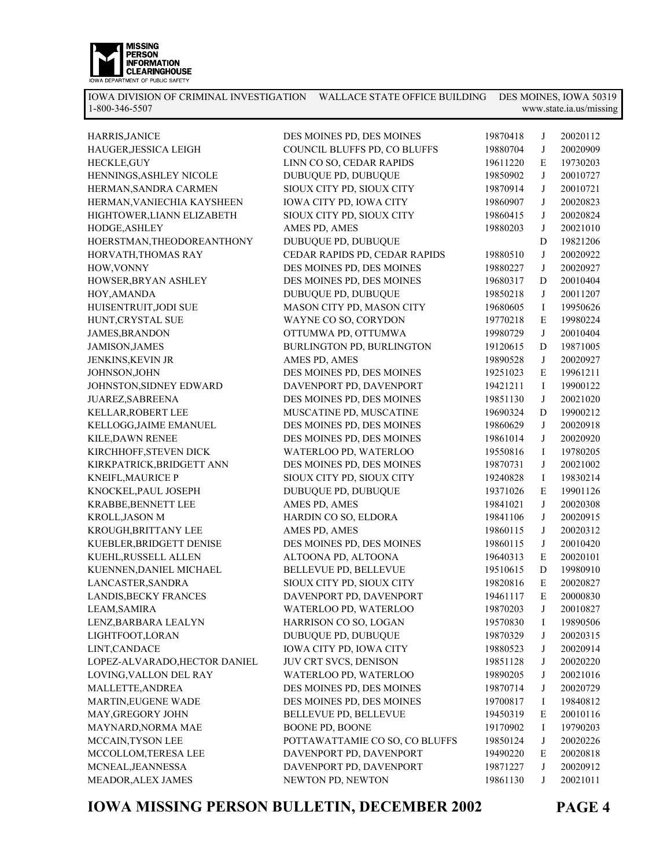

| HARRIS, JANICE                | DES MOINES PD, DES MOINES      | 19870418 | J           | 20020112 |
|-------------------------------|--------------------------------|----------|-------------|----------|
| HAUGER, JESSICA LEIGH         | COUNCIL BLUFFS PD, CO BLUFFS   | 19880704 | J           | 20020909 |
| HECKLE, GUY                   | LINN CO SO, CEDAR RAPIDS       | 19611220 | E           | 19730203 |
| HENNINGS, ASHLEY NICOLE       | DUBUQUE PD, DUBUQUE            | 19850902 | J           | 20010727 |
| HERMAN, SANDRA CARMEN         | SIOUX CITY PD, SIOUX CITY      | 19870914 | J           | 20010721 |
| HERMAN, VANIECHIA KAYSHEEN    | IOWA CITY PD, IOWA CITY        | 19860907 | J           | 20020823 |
| HIGHTOWER, LIANN ELIZABETH    | SIOUX CITY PD, SIOUX CITY      | 19860415 | J           | 20020824 |
| HODGE, ASHLEY                 | AMES PD, AMES                  | 19880203 | J           | 20021010 |
| HOERSTMAN, THEODOREANTHONY    | DUBUQUE PD, DUBUQUE            |          | $\mathbf D$ | 19821206 |
| HORVATH, THOMAS RAY           | CEDAR RAPIDS PD, CEDAR RAPIDS  | 19880510 | J           | 20020922 |
| HOW, VONNY                    | DES MOINES PD, DES MOINES      | 19880227 | J           | 20020927 |
| HOWSER, BRYAN ASHLEY          | DES MOINES PD, DES MOINES      | 19680317 | D           | 20010404 |
| HOY, AMANDA                   | DUBUQUE PD, DUBUQUE            | 19850218 | J           | 20011207 |
| HUISENTRUIT, JODI SUE         | MASON CITY PD, MASON CITY      | 19680605 | $\bf{I}$    | 19950626 |
| HUNT, CRYSTAL SUE             | WAYNE CO SO, CORYDON           | 19770218 | E           | 19980224 |
| <b>JAMES, BRANDON</b>         | OTTUMWA PD, OTTUMWA            | 19980729 | J           | 20010404 |
| JAMISON, JAMES                | BURLINGTON PD, BURLINGTON      | 19120615 | $\mathbf D$ | 19871005 |
| JENKINS, KEVIN JR             | AMES PD, AMES                  | 19890528 | J           | 20020927 |
| JOHNSON, JOHN                 | DES MOINES PD, DES MOINES      | 19251023 | E           | 19961211 |
| JOHNSTON, SIDNEY EDWARD       | DAVENPORT PD, DAVENPORT        | 19421211 | $\bf{I}$    | 19900122 |
| JUAREZ, SABREENA              | DES MOINES PD, DES MOINES      | 19851130 | J           | 20021020 |
| KELLAR, ROBERT LEE            | MUSCATINE PD, MUSCATINE        | 19690324 | D           | 19900212 |
| KELLOGG, JAIME EMANUEL        | DES MOINES PD, DES MOINES      | 19860629 | J           | 20020918 |
| KILE, DAWN RENEE              | DES MOINES PD, DES MOINES      | 19861014 | J           | 20020920 |
| KIRCHHOFF, STEVEN DICK        | WATERLOO PD, WATERLOO          | 19550816 | I           | 19780205 |
| KIRKPATRICK, BRIDGETT ANN     | DES MOINES PD, DES MOINES      | 19870731 | J           | 20021002 |
| KNEIFL, MAURICE P             | SIOUX CITY PD, SIOUX CITY      | 19240828 | $\bf{I}$    | 19830214 |
| KNOCKEL, PAUL JOSEPH          | DUBUQUE PD, DUBUQUE            | 19371026 | E           | 19901126 |
| KRABBE, BENNETT LEE           | AMES PD, AMES                  | 19841021 | J           | 20020308 |
| KROLL,JASON M                 | HARDIN CO SO, ELDORA           | 19841106 | J           | 20020915 |
| KROUGH, BRITTANY LEE          | AMES PD, AMES                  | 19860115 | J           | 20020312 |
| KUEBLER, BRIDGETT DENISE      | DES MOINES PD, DES MOINES      | 19860115 | J           | 20010420 |
| KUEHL, RUSSELL ALLEN          | ALTOONA PD, ALTOONA            | 19640313 | E           | 20020101 |
| KUENNEN, DANIEL MICHAEL       | BELLEVUE PD, BELLEVUE          | 19510615 | $\mathbf D$ | 19980910 |
| LANCASTER, SANDRA             | SIOUX CITY PD, SIOUX CITY      | 19820816 | ${\bf E}$   | 20020827 |
| LANDIS, BECKY FRANCES         | DAVENPORT PD, DAVENPORT        | 19461117 | E           | 20000830 |
| LEAM, SAMIRA                  | WATERLOO PD, WATERLOO          | 19870203 | J           | 20010827 |
| LENZ, BARBARA LEALYN          | HARRISON CO SO, LOGAN          | 19570830 | I           | 19890506 |
| LIGHTFOOT, LORAN              | DUBUQUE PD, DUBUQUE            | 19870329 | J           | 20020315 |
| LINT, CANDACE                 | IOWA CITY PD, IOWA CITY        | 19880523 | J           | 20020914 |
| LOPEZ-ALVARADO, HECTOR DANIEL | JUV CRT SVCS, DENISON          | 19851128 | J           | 20020220 |
| LOVING, VALLON DEL RAY        | WATERLOO PD, WATERLOO          | 19890205 | J           | 20021016 |
| MALLETTE, ANDREA              | DES MOINES PD, DES MOINES      | 19870714 | J           | 20020729 |
| MARTIN, EUGENE WADE           | DES MOINES PD, DES MOINES      | 19700817 | Ι           | 19840812 |
| MAY, GREGORY JOHN             | BELLEVUE PD, BELLEVUE          | 19450319 | E           | 20010116 |
| MAYNARD, NORMA MAE            | <b>BOONE PD, BOONE</b>         | 19170902 | Ι           | 19790203 |
| MCCAIN, TYSON LEE             | POTTAWATTAMIE CO SO, CO BLUFFS | 19850124 | J           | 20020226 |
| MCCOLLOM, TERESA LEE          | DAVENPORT PD, DAVENPORT        | 19490220 | E           | 20020818 |
| MCNEAL, JEANNESSA             | DAVENPORT PD, DAVENPORT        | 19871227 | J           | 20020912 |
| MEADOR, ALEX JAMES            | NEWTON PD, NEWTON              | 19861130 | J           | 20021011 |
|                               |                                |          |             |          |

**IOWA MISSING PERSON BULLETIN, DECEMBER 2002**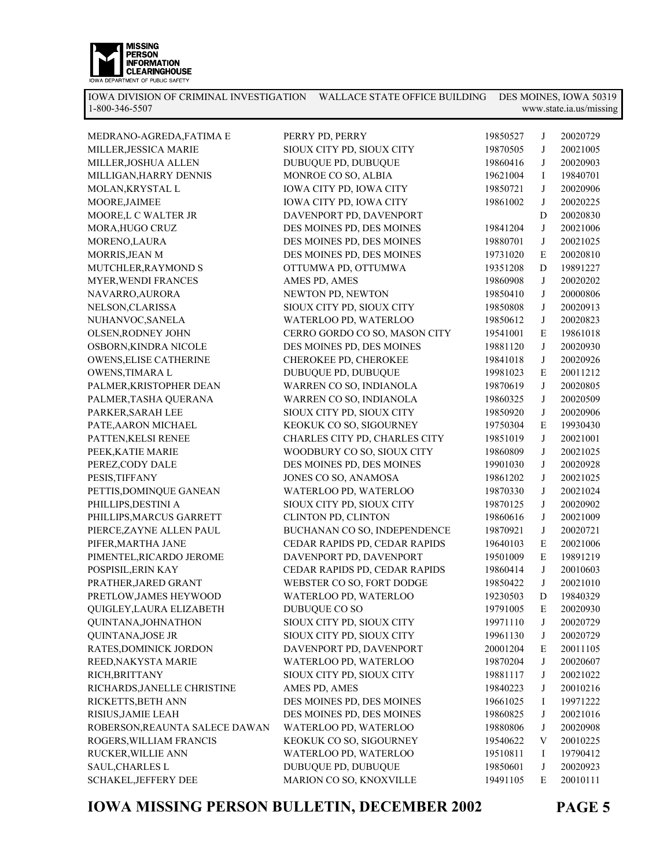

| MEDRANO-AGREDA, FATIMA E       | PERRY PD, PERRY               | 19850527 | J            | 20020729 |
|--------------------------------|-------------------------------|----------|--------------|----------|
| MILLER, JESSICA MARIE          | SIOUX CITY PD, SIOUX CITY     | 19870505 | J            | 20021005 |
| MILLER, JOSHUA ALLEN           | DUBUQUE PD, DUBUQUE           | 19860416 | J            | 20020903 |
| MILLIGAN, HARRY DENNIS         | MONROE CO SO, ALBIA           | 19621004 | Ι            | 19840701 |
| MOLAN, KRYSTAL L               | IOWA CITY PD, IOWA CITY       | 19850721 | J            | 20020906 |
| MOORE, JAIMEE                  | IOWA CITY PD, IOWA CITY       | 19861002 | J            | 20020225 |
| MOORE,L C WALTER JR            | DAVENPORT PD, DAVENPORT       |          | $\mathbf D$  | 20020830 |
| MORA, HUGO CRUZ                | DES MOINES PD, DES MOINES     | 19841204 | $\mathbf{J}$ | 20021006 |
| MORENO,LAURA                   | DES MOINES PD, DES MOINES     | 19880701 | J            | 20021025 |
| MORRIS, JEAN M                 | DES MOINES PD, DES MOINES     | 19731020 | E            | 20020810 |
| MUTCHLER, RAYMOND S            | OTTUMWA PD, OTTUMWA           | 19351208 | D            | 19891227 |
| <b>MYER, WENDI FRANCES</b>     | AMES PD, AMES                 | 19860908 | J            | 20020202 |
| NAVARRO, AURORA                | NEWTON PD, NEWTON             | 19850410 | J            | 20000806 |
| NELSON, CLARISSA               | SIOUX CITY PD, SIOUX CITY     | 19850808 | J            | 20020913 |
| NUHANVOC, SANELA               | WATERLOO PD, WATERLOO         | 19850612 | J            | 20020823 |
| OLSEN, RODNEY JOHN             | CERRO GORDO CO SO, MASON CITY | 19541001 | E            | 19861018 |
| OSBORN, KINDRA NICOLE          | DES MOINES PD, DES MOINES     | 19881120 | J            | 20020930 |
| <b>OWENS, ELISE CATHERINE</b>  | CHEROKEE PD, CHEROKEE         | 19841018 | J            | 20020926 |
| OWENS, TIMARA L                | DUBUQUE PD, DUBUQUE           | 19981023 | E            | 20011212 |
| PALMER, KRISTOPHER DEAN        | WARREN CO SO, INDIANOLA       | 19870619 | $\mathbf{J}$ | 20020805 |
| PALMER, TASHA QUERANA          | WARREN CO SO, INDIANOLA       | 19860325 | J            | 20020509 |
| PARKER, SARAH LEE              | SIOUX CITY PD, SIOUX CITY     | 19850920 | $\mathbf{J}$ | 20020906 |
| PATE, AARON MICHAEL            | KEOKUK CO SO, SIGOURNEY       | 19750304 | E            | 19930430 |
| PATTEN, KELSI RENEE            | CHARLES CITY PD, CHARLES CITY | 19851019 | $\bf J$      | 20021001 |
| PEEK, KATIE MARIE              | WOODBURY CO SO, SIOUX CITY    | 19860809 | J            | 20021025 |
| PEREZ, CODY DALE               | DES MOINES PD, DES MOINES     | 19901030 | J            | 20020928 |
| PESIS, TIFFANY                 | JONES CO SO, ANAMOSA          | 19861202 | J            | 20021025 |
| PETTIS, DOMINQUE GANEAN        | WATERLOO PD, WATERLOO         | 19870330 | J            | 20021024 |
| PHILLIPS, DESTINI A            | SIOUX CITY PD, SIOUX CITY     | 19870125 | J            | 20020902 |
| PHILLIPS, MARCUS GARRETT       | CLINTON PD, CLINTON           | 19860616 | J            | 20021009 |
| PIERCE, ZAYNE ALLEN PAUL       | BUCHANAN CO SO, INDEPENDENCE  | 19870921 | $\mathbf{J}$ | 20020721 |
| PIFER, MARTHA JANE             | CEDAR RAPIDS PD, CEDAR RAPIDS | 19640103 | E            | 20021006 |
| PIMENTEL, RICARDO JEROME       | DAVENPORT PD, DAVENPORT       | 19501009 | $\mathbf E$  | 19891219 |
| POSPISIL, ERIN KAY             | CEDAR RAPIDS PD, CEDAR RAPIDS | 19860414 | J            | 20010603 |
| PRATHER, JARED GRANT           | WEBSTER CO SO, FORT DODGE     | 19850422 | J            | 20021010 |
| PRETLOW, JAMES HEYWOOD         | WATERLOO PD, WATERLOO         | 19230503 | D            | 19840329 |
| QUIGLEY, LAURA ELIZABETH       | DUBUQUE CO SO                 | 19791005 | $\mathbf E$  | 20020930 |
| QUINTANA, JOHNATHON            | SIOUX CITY PD, SIOUX CITY     | 19971110 | J            | 20020729 |
| QUINTANA, JOSE JR              | SIOUX CITY PD, SIOUX CITY     | 19961130 | J            | 20020729 |
| RATES, DOMINICK JORDON         | DAVENPORT PD, DAVENPORT       | 20001204 | Е            | 20011105 |
| REED, NAKYSTA MARIE            | WATERLOO PD, WATERLOO         | 19870204 | J            | 20020607 |
| RICH, BRITTANY                 | SIOUX CITY PD, SIOUX CITY     | 19881117 | J            | 20021022 |
| RICHARDS, JANELLE CHRISTINE    | AMES PD, AMES                 | 19840223 | J            | 20010216 |
| RICKETTS, BETH ANN             | DES MOINES PD, DES MOINES     | 19661025 | Ι            | 19971222 |
| RISIUS, JAMIE LEAH             | DES MOINES PD, DES MOINES     | 19860825 | J            | 20021016 |
| ROBERSON, REAUNTA SALECE DAWAN | WATERLOO PD, WATERLOO         | 19880806 | J            | 20020908 |
| ROGERS, WILLIAM FRANCIS        | KEOKUK CO SO, SIGOURNEY       | 19540622 | V            | 20010225 |
| RUCKER, WILLIE ANN             | WATERLOO PD, WATERLOO         | 19510811 |              | 19790412 |
|                                |                               |          | Ι            |          |
| SAUL, CHARLES L                | DUBUQUE PD, DUBUQUE           | 19850601 | J            | 20020923 |
| SCHAKEL, JEFFERY DEE           | MARION CO SO, KNOXVILLE       | 19491105 | Е            | 20010111 |

**IOWA MISSING PERSON BULLETIN, DECEMBER 2002 PAGE 5**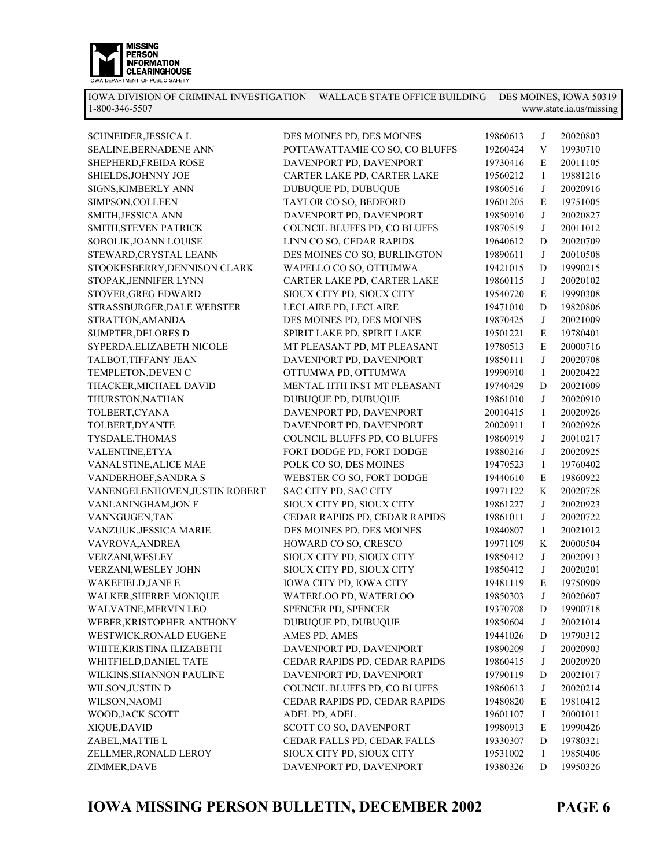

| SCHNEIDER, JESSICA L           | DES MOINES PD, DES MOINES      | 19860613 | J          | 20020803 |
|--------------------------------|--------------------------------|----------|------------|----------|
| SEALINE, BERNADENE ANN         | POTTAWATTAMIE CO SO, CO BLUFFS | 19260424 | V          | 19930710 |
| SHEPHERD, FREIDA ROSE          | DAVENPORT PD, DAVENPORT        | 19730416 | Е          | 20011105 |
| SHIELDS, JOHNNY JOE            | CARTER LAKE PD, CARTER LAKE    | 19560212 | Ι          | 19881216 |
| SIGNS, KIMBERLY ANN            | DUBUQUE PD, DUBUQUE            | 19860516 | J          | 20020916 |
| SIMPSON, COLLEEN               | TAYLOR CO SO, BEDFORD          | 19601205 | E          | 19751005 |
| SMITH, JESSICA ANN             | DAVENPORT PD, DAVENPORT        | 19850910 | J          | 20020827 |
| SMITH, STEVEN PATRICK          | COUNCIL BLUFFS PD, CO BLUFFS   | 19870519 | J          | 20011012 |
| SOBOLIK, JOANN LOUISE          | LINN CO SO, CEDAR RAPIDS       | 19640612 | D          | 20020709 |
| STEWARD, CRYSTAL LEANN         | DES MOINES CO SO, BURLINGTON   | 19890611 | J          | 20010508 |
| STOOKESBERRY, DENNISON CLARK   | WAPELLO CO SO, OTTUMWA         | 19421015 | D          | 19990215 |
| STOPAK, JENNIFER LYNN          | CARTER LAKE PD, CARTER LAKE    | 19860115 | J          | 20020102 |
| STOVER, GREG EDWARD            | SIOUX CITY PD, SIOUX CITY      | 19540720 | E          | 19990308 |
| STRASSBURGER, DALE WEBSTER     | LECLAIRE PD, LECLAIRE          | 19471010 | D          | 19820806 |
| STRATTON, AMANDA               | DES MOINES PD, DES MOINES      | 19870425 | J          | 20021009 |
| <b>SUMPTER, DELORES D</b>      | SPIRIT LAKE PD, SPIRIT LAKE    | 19501221 | E          | 19780401 |
| SYPERDA, ELIZABETH NICOLE      | MT PLEASANT PD, MT PLEASANT    | 19780513 | E          | 20000716 |
| TALBOT, TIFFANY JEAN           | DAVENPORT PD, DAVENPORT        | 19850111 | J          | 20020708 |
| TEMPLETON, DEVEN C             | OTTUMWA PD, OTTUMWA            | 19990910 | Ι          | 20020422 |
| THACKER, MICHAEL DAVID         | MENTAL HTH INST MT PLEASANT    | 19740429 | D          | 20021009 |
| THURSTON, NATHAN               | DUBUQUE PD, DUBUQUE            | 19861010 | J          | 20020910 |
| TOLBERT, CYANA                 | DAVENPORT PD, DAVENPORT        | 20010415 | Ι          | 20020926 |
| TOLBERT, DYANTE                | DAVENPORT PD, DAVENPORT        | 20020911 | Ι          | 20020926 |
| TYSDALE, THOMAS                | COUNCIL BLUFFS PD, CO BLUFFS   | 19860919 | J          | 20010217 |
| VALENTINE, ETYA                | FORT DODGE PD, FORT DODGE      | 19880216 | J          | 20020925 |
| VANALSTINE, ALICE MAE          | POLK CO SO, DES MOINES         | 19470523 | I          | 19760402 |
| VANDERHOEF, SANDRA S           | WEBSTER CO SO, FORT DODGE      | 19440610 | E          | 19860922 |
| VANENGELENHOVEN, JUSTIN ROBERT | SAC CITY PD, SAC CITY          | 19971122 | K          | 20020728 |
| VANLANINGHAM, JON F            | SIOUX CITY PD, SIOUX CITY      | 19861227 | J          | 20020923 |
| VANNGUGEN, TAN                 | CEDAR RAPIDS PD, CEDAR RAPIDS  | 19861011 | J          | 20020722 |
| VANZUUK, JESSICA MARIE         | DES MOINES PD, DES MOINES      | 19840807 | I          | 20021012 |
| VAVROVA, ANDREA                | HOWARD CO SO, CRESCO           | 19971109 | K          | 20000504 |
| VERZANI, WESLEY                | SIOUX CITY PD, SIOUX CITY      | 19850412 | J          | 20020913 |
| VERZANI, WESLEY JOHN           | SIOUX CITY PD, SIOUX CITY      | 19850412 | J          | 20020201 |
| WAKEFIELD, JANE E              | IOWA CITY PD, IOWA CITY        | 19481119 | E          | 19750909 |
| WALKER, SHERRE MONIQUE         | WATERLOO PD, WATERLOO          | 19850303 | $_{\rm J}$ | 20020607 |
| WALVATNE, MERVIN LEO           | SPENCER PD, SPENCER            | 19370708 | D          | 19900718 |
| WEBER, KRISTOPHER ANTHONY      | DUBUQUE PD, DUBUQUE            | 19850604 | J          | 20021014 |
| WESTWICK, RONALD EUGENE        | AMES PD, AMES                  | 19441026 | D          | 19790312 |
| WHITE, KRISTINA ILIZABETH      | DAVENPORT PD, DAVENPORT        | 19890209 | J          | 20020903 |
| WHITFIELD, DANIEL TATE         | CEDAR RAPIDS PD, CEDAR RAPIDS  | 19860415 | J          | 20020920 |
| WILKINS, SHANNON PAULINE       | DAVENPORT PD, DAVENPORT        | 19790119 | D          | 20021017 |
| WILSON, JUSTIN D               | COUNCIL BLUFFS PD, CO BLUFFS   | 19860613 | J          | 20020214 |
| WILSON, NAOMI                  | CEDAR RAPIDS PD, CEDAR RAPIDS  | 19480820 | E          | 19810412 |
| WOOD, JACK SCOTT               | ADEL PD, ADEL                  | 19601107 | Ι          | 20001011 |
| XIQUE, DAVID                   | SCOTT CO SO, DAVENPORT         | 19980913 | E          | 19990426 |
| ZABEL, MATTIE L                | CEDAR FALLS PD, CEDAR FALLS    | 19330307 | D          | 19780321 |
| ZELLMER, RONALD LEROY          | SIOUX CITY PD, SIOUX CITY      | 19531002 | Ι.         | 19850406 |
| ZIMMER, DAVE                   | DAVENPORT PD, DAVENPORT        | 19380326 | D          | 19950326 |
|                                |                                |          |            |          |

**IOWA MISSING PERSON BULLETIN, DECEMBER 2002**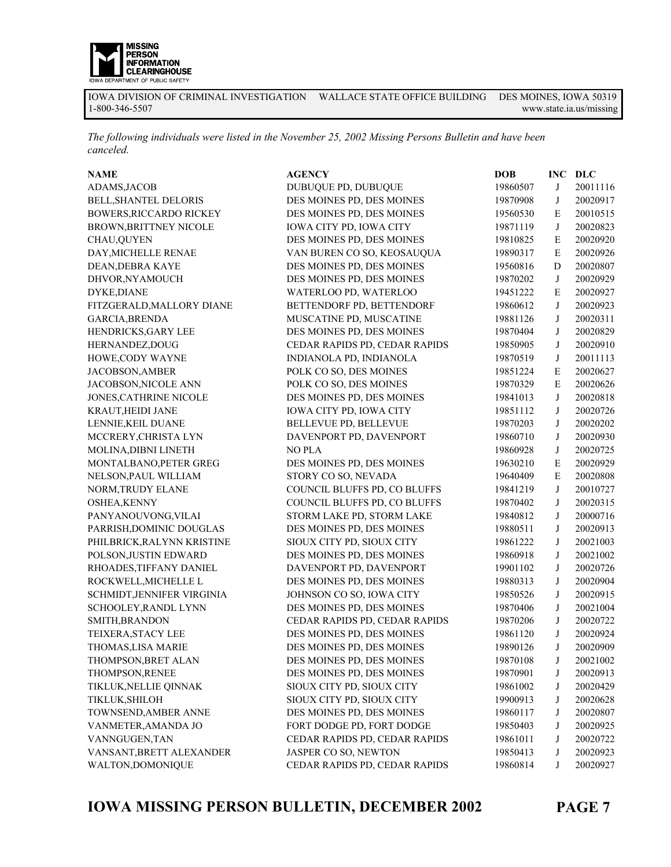

*The following individuals were listed in the November 25, 2002 Missing Persons Bulletin and have been canceled.* 

| <b>NAME</b>                   | <b>AGENCY</b>                 | <b>DOB</b> | <b>INC</b>  | DLC      |
|-------------------------------|-------------------------------|------------|-------------|----------|
| ADAMS, JACOB                  | DUBUQUE PD, DUBUQUE           | 19860507   | J           | 20011116 |
| BELL, SHANTEL DELORIS         | DES MOINES PD, DES MOINES     | 19870908   | J           | 20020917 |
| BOWERS, RICCARDO RICKEY       | DES MOINES PD, DES MOINES     | 19560530   | E           | 20010515 |
| <b>BROWN, BRITTNEY NICOLE</b> | IOWA CITY PD, IOWA CITY       | 19871119   | J           | 20020823 |
| CHAU, QUYEN                   | DES MOINES PD, DES MOINES     | 19810825   | E           | 20020920 |
| DAY, MICHELLE RENAE           | VAN BUREN CO SO, KEOSAUQUA    | 19890317   | E           | 20020926 |
| DEAN, DEBRA KAYE              | DES MOINES PD, DES MOINES     | 19560816   | D           | 20020807 |
| DHVOR, NYAMOUCH               | DES MOINES PD, DES MOINES     | 19870202   | J           | 20020929 |
| DYKE, DIANE                   | WATERLOO PD, WATERLOO         | 19451222   | E           | 20020927 |
| FITZGERALD, MALLORY DIANE     | BETTENDORF PD, BETTENDORF     | 19860612   | J           | 20020923 |
| GARCIA, BRENDA                | MUSCATINE PD, MUSCATINE       | 19881126   | J           | 20020311 |
| HENDRICKS, GARY LEE           | DES MOINES PD, DES MOINES     | 19870404   | J           | 20020829 |
| HERNANDEZ, DOUG               | CEDAR RAPIDS PD, CEDAR RAPIDS | 19850905   | J           | 20020910 |
| HOWE, CODY WAYNE              | INDIANOLA PD, INDIANOLA       | 19870519   | J           | 20011113 |
| JACOBSON, AMBER               | POLK CO SO, DES MOINES        | 19851224   | E           | 20020627 |
| JACOBSON, NICOLE ANN          | POLK CO SO, DES MOINES        | 19870329   | $\mathbf E$ | 20020626 |
| JONES, CATHRINE NICOLE        | DES MOINES PD, DES MOINES     | 19841013   | J           | 20020818 |
| KRAUT, HEIDI JANE             | IOWA CITY PD, IOWA CITY       | 19851112   | J           | 20020726 |
| LENNIE, KEIL DUANE            | BELLEVUE PD, BELLEVUE         | 19870203   | J           | 20020202 |
| MCCRERY, CHRISTA LYN          | DAVENPORT PD, DAVENPORT       | 19860710   | J           | 20020930 |
| MOLINA, DIBNI LINETH          | <b>NO PLA</b>                 | 19860928   | J           | 20020725 |
| MONTALBANO, PETER GREG        | DES MOINES PD, DES MOINES     | 19630210   | E           | 20020929 |
| NELSON, PAUL WILLIAM          | STORY CO SO, NEVADA           | 19640409   | E           | 20020808 |
| NORM, TRUDY ELANE             | COUNCIL BLUFFS PD, CO BLUFFS  | 19841219   | J           | 20010727 |
| OSHEA, KENNY                  | COUNCIL BLUFFS PD, CO BLUFFS  | 19870402   | J           | 20020315 |
| PANYANOUVONG, VILAI           | STORM LAKE PD, STORM LAKE     | 19840812   | J           | 20000716 |
| PARRISH, DOMINIC DOUGLAS      | DES MOINES PD, DES MOINES     | 19880511   | J           | 20020913 |
| PHILBRICK, RALYNN KRISTINE    | SIOUX CITY PD, SIOUX CITY     | 19861222   | J           | 20021003 |
| POLSON, JUSTIN EDWARD         | DES MOINES PD, DES MOINES     | 19860918   | J           | 20021002 |
| RHOADES, TIFFANY DANIEL       | DAVENPORT PD, DAVENPORT       | 19901102   | J           | 20020726 |
| ROCKWELL, MICHELLE L          | DES MOINES PD, DES MOINES     | 19880313   | J           | 20020904 |
| SCHMIDT, JENNIFER VIRGINIA    | JOHNSON CO SO, IOWA CITY      | 19850526   | J           | 20020915 |
| SCHOOLEY, RANDL LYNN          | DES MOINES PD, DES MOINES     | 19870406   | J           | 20021004 |
| SMITH, BRANDON                | CEDAR RAPIDS PD, CEDAR RAPIDS | 19870206   | J           | 20020722 |
| TEIXERA, STACY LEE            | DES MOINES PD, DES MOINES     | 19861120   | J           | 20020924 |
| THOMAS, LISA MARIE            | DES MOINES PD, DES MOINES     | 19890126   | J           | 20020909 |
| THOMPSON, BRET ALAN           | DES MOINES PD, DES MOINES     | 19870108   | $\bf J$     | 20021002 |
| THOMPSON, RENEE               | DES MOINES PD, DES MOINES     | 19870901   | J           | 20020913 |
| TIKLUK, NELLIE QINNAK         | SIOUX CITY PD, SIOUX CITY     | 19861002   | J           | 20020429 |
| TIKLUK,SHILOH                 | SIOUX CITY PD, SIOUX CITY     | 19900913   | J           | 20020628 |
| TOWNSEND, AMBER ANNE          | DES MOINES PD, DES MOINES     | 19860117   | J           | 20020807 |
| VANMETER, AMANDA JO           | FORT DODGE PD, FORT DODGE     | 19850403   | J           | 20020925 |
| VANNGUGEN, TAN                | CEDAR RAPIDS PD, CEDAR RAPIDS | 19861011   | J           | 20020722 |
| VANSANT, BRETT ALEXANDER      | JASPER CO SO, NEWTON          | 19850413   | J           | 20020923 |
| WALTON, DOMONIQUE             | CEDAR RAPIDS PD, CEDAR RAPIDS | 19860814   | J           | 20020927 |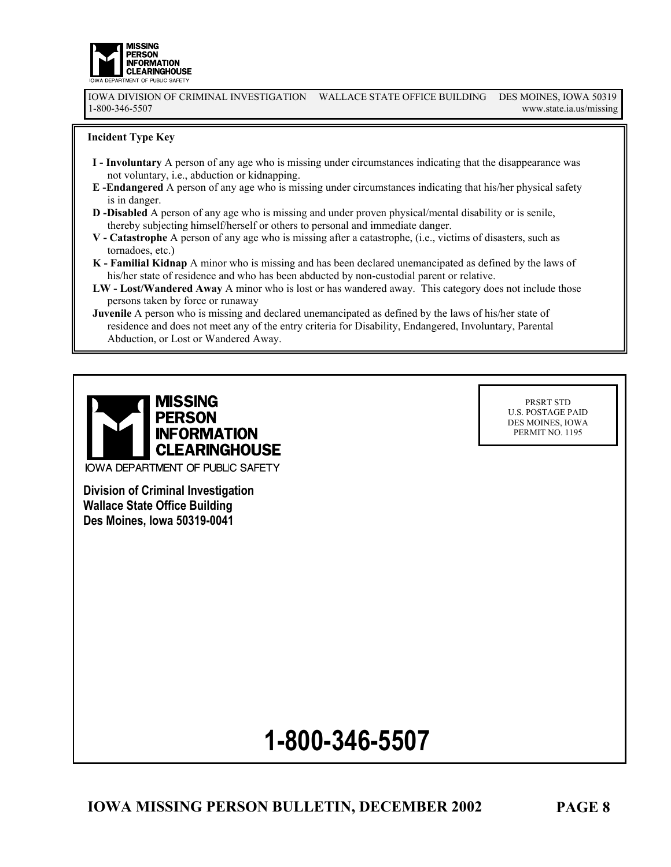

IOWA DIVISION OF CRIMINAL INVESTIGATION WALLACE STATE OFFICE BUILDING DES MOINES, IOWA 50319 www.state.ia.us/missing

#### **Incident Type Key**

- **I Involuntary** A person of any age who is missing under circumstances indicating that the disappearance was not voluntary, i.e., abduction or kidnapping.
- **E -Endangered** A person of any age who is missing under circumstances indicating that his/her physical safety is in danger.
- **D -Disabled** A person of any age who is missing and under proven physical/mental disability or is senile, thereby subjecting himself/herself or others to personal and immediate danger.
- **V Catastrophe** A person of any age who is missing after a catastrophe, (i.e., victims of disasters, such as tornadoes, etc.)
- **K Familial Kidnap** A minor who is missing and has been declared unemancipated as defined by the laws of his/her state of residence and who has been abducted by non-custodial parent or relative.
- **LW Lost/Wandered Away** A minor who is lost or has wandered away. This category does not include those persons taken by force or runaway
- **Juvenile** A person who is missing and declared unemancipated as defined by the laws of his/her state of residence and does not meet any of the entry criteria for Disability, Endangered, Involuntary, Parental Abduction, or Lost or Wandered Away.



PRSRT STD U.S. POSTAGE PAID DES MOINES, IOWA PERMIT NO. 1195

**Division of Criminal Investigation Wallace State Office Building Des Moines, Iowa 50319-0041** 

# **1-800-346-5507**

**IOWA MISSING PERSON BULLETIN, DECEMBER 2002**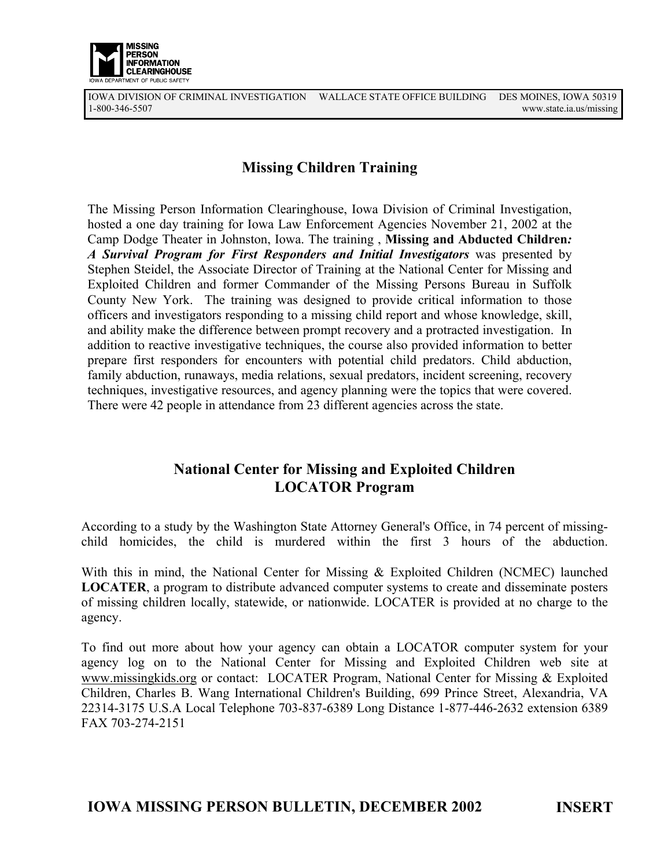

IOWA DIVISION OF CRIMINAL INVESTIGATION WALLACE STATE OFFICE BUILDING DES MOINES, IOWA 50319 www.state.ia.us/missing

### **Missing Children Training**

The Missing Person Information Clearinghouse, Iowa Division of Criminal Investigation, hosted a one day training for Iowa Law Enforcement Agencies November 21, 2002 at the Camp Dodge Theater in Johnston, Iowa. The training , **Missing and Abducted Children***: A Survival Program for First Responders and Initial Investigators* was presented by Stephen Steidel, the Associate Director of Training at the National Center for Missing and Exploited Children and former Commander of the Missing Persons Bureau in Suffolk County New York. The training was designed to provide critical information to those officers and investigators responding to a missing child report and whose knowledge, skill, and ability make the difference between prompt recovery and a protracted investigation. In addition to reactive investigative techniques, the course also provided information to better prepare first responders for encounters with potential child predators. Child abduction, family abduction, runaways, media relations, sexual predators, incident screening, recovery techniques, investigative resources, and agency planning were the topics that were covered. There were 42 people in attendance from 23 different agencies across the state.

### **National Center for Missing and Exploited Children LOCATOR Program**

According to a study by the Washington State Attorney General's Office, in 74 percent of missingchild homicides, the child is murdered within the first 3 hours of the abduction.

With this in mind, the National Center for Missing & Exploited Children (NCMEC) launched **LOCATER**, a program to distribute advanced computer systems to create and disseminate posters of missing children locally, statewide, or nationwide. LOCATER is provided at no charge to the agency.

To find out more about how your agency can obtain a LOCATOR computer system for your agency log on to the National Center for Missing and Exploited Children web site at www.missingkids.org or contact: LOCATER Program, National Center for Missing & Exploited Children, Charles B. Wang International Children's Building, 699 Prince Street, Alexandria, VA 22314-3175 U.S.A Local Telephone 703-837-6389 Long Distance 1-877-446-2632 extension 6389 FAX 703-274-2151